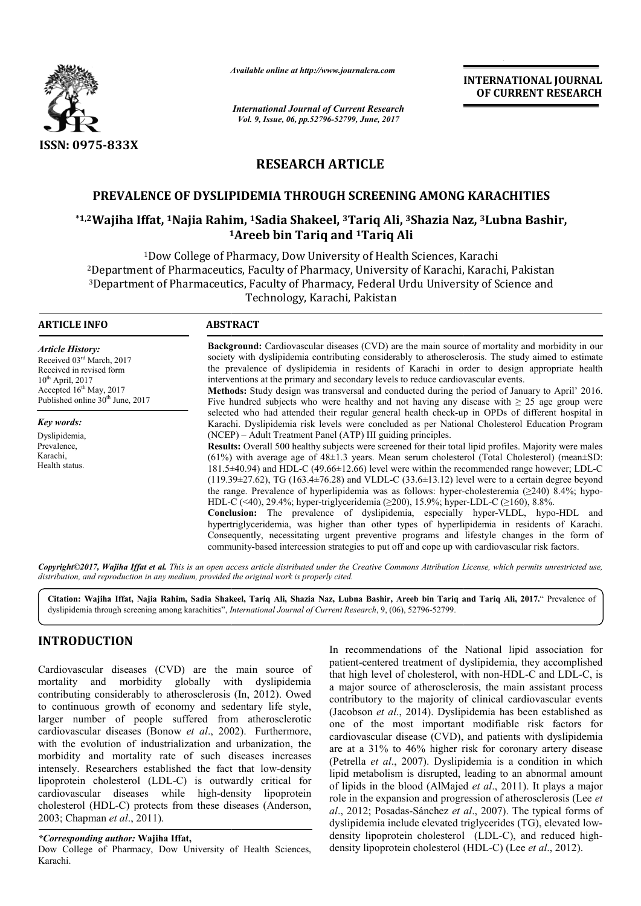

*Available online at http://www.journal http://www.journalcra.com*

*International Journal of Current Research Vol. 9, Issue, 06, pp.52796-52799, June, 2017*

**INTERNATIONAL JOURNAL OF CURRENT RESEARCH** 

# **RESEARCH ARTICLE**

# **PREVALENCE OF DYSLIPIDEMIA THROUGH SCREENING AMONG KARACHITIES**

# **\*1,2Wajiha Iffat, 1Najia Rahim, Najia 1Sadia Shakeel, 3Tariq Ali, 3Shazia Naz OF DYSLIPIDEMIA Shazia Naz, 3Lubna Bashir, 1 1Areeb bin Tariq and 1Tariq Ali**

<sup>1</sup>Dow College of Pharmacy, Dow University of Health Sciences, Karachi <sup>2</sup>Department of Pharmaceutics, Faculty of Pharmacy, University of Karachi, Karachi, Pakistan 3Department of Pharmaceutics, Faculty of Pharmacy, Federal Urdu University of Science and Department Technology, Karachi, Pakistan ow College of Pharmacy, Dow University of Health Sciences, Karachi<br>of Pharmaceutics, Faculty of Pharmacy, University of Karachi, Karachi, Pakistar<br>of Pharmaceutics, Faculty of Pharmacy, Federal Urdu University of Science a

| <b>ARTICLE INFO</b>                                                                                                                                                                    | <b>ABSTRACT</b>                                                                                                                                                                                                                                                                                                                                                                                                                                                                                                                                                                                                                                                                                                                                                                                                                                                                                                                                                                                                                                                                                                                                                                                                                                                                                                                 |  |  |
|----------------------------------------------------------------------------------------------------------------------------------------------------------------------------------------|---------------------------------------------------------------------------------------------------------------------------------------------------------------------------------------------------------------------------------------------------------------------------------------------------------------------------------------------------------------------------------------------------------------------------------------------------------------------------------------------------------------------------------------------------------------------------------------------------------------------------------------------------------------------------------------------------------------------------------------------------------------------------------------------------------------------------------------------------------------------------------------------------------------------------------------------------------------------------------------------------------------------------------------------------------------------------------------------------------------------------------------------------------------------------------------------------------------------------------------------------------------------------------------------------------------------------------|--|--|
| <b>Article History:</b><br>Received 03rd March, 2017<br>Received in revised form<br>$10^{th}$ April, 2017<br>Accepted $16th$ May, 2017<br>Published online 30 <sup>th</sup> June, 2017 | <b>Background:</b> Cardiovascular diseases (CVD) are the main source of mortality and morbidity in our<br>society with dyslipidemia contributing considerably to atherosclerosis. The study aimed to estimate<br>the prevalence of dyslipidemia in residents of Karachi in order to design appropriate health<br>interventions at the primary and secondary levels to reduce cardiovascular events.<br>Methods: Study design was transversal and conducted during the period of January to April' 2016.<br>Five hundred subjects who were healthy and not having any disease with $\geq 25$ age group were                                                                                                                                                                                                                                                                                                                                                                                                                                                                                                                                                                                                                                                                                                                      |  |  |
| Key words:<br>Dyslipidemia,<br>Prevalence,<br>Karachi,<br>Health status.                                                                                                               | selected who had attended their regular general health check-up in OPDs of different hospital in<br>Karachi. Dyslipidemia risk levels were concluded as per National Cholesterol Education Program<br>(NCEP) – Adult Treatment Panel (ATP) III guiding principles.<br><b>Results:</b> Overall 500 healthy subjects were screened for their total lipid profiles. Majority were males<br>$(61\%)$ with average age of 48 $\pm$ 1.3 years. Mean serum cholesterol (Total Cholesterol) (mean $\pm$ SD:<br>181.5±40.94) and HDL-C (49.66±12.66) level were within the recommended range however; LDL-C<br>$(119.39\pm 27.62)$ , TG (163.4 $\pm$ 76.28) and VLDL-C (33.6 $\pm$ 13.12) level were to a certain degree beyond<br>the range. Prevalence of hyperlipidemia was as follows: hyper-cholesteremia $(\geq 240)$ 8.4%; hypo-<br>HDL-C (<40), 29.4%; hyper-triglyceridemia ( $\geq$ 200), 15.9%; hyper-LDL-C ( $\geq$ 160), 8.8%.<br><b>Conclusion:</b> The prevalence of dyslipidemia, especially hyper-VLDL, hypo-HDL and<br>hypertriglyceridemia, was higher than other types of hyperlipidemia in residents of Karachi.<br>Consequently, necessitating urgent preventive programs and lifestyle changes in the form of<br>community-based intercession strategies to put off and cope up with cardiovascular risk factors. |  |  |

*Copyright©2017, Wajiha Iffat et al. This is an open access article distributed under the Creative Commons Att Attribution License, which ribution permits unrestricted use, distribution, and reproduction in any medium, provided the original work is properly cited.*

**Citation: Wajiha Iffat, Najia Rahim, Sadia Shakeel, Tariq Ali, Shazia Naz, Lubna Bashir Bashir, Areeb bin Tariq and Tariq Ali, 2017.**" Prevalence of dyslipidemia through screening among karachities", *International Journal of Current Research* , 9, (06), 52796-52799.

## **INTRODUCTION**

Cardiovascular diseases (CVD) are the main source of mortality and morbidity globally with dyslipidemia contributing considerably to atherosclerosis (In, 2012). Owed to continuous growth of economy and sedentary life style, larger number of people suffered from atherosclerotic cardiovascular diseases (Bonow et al., 2002). Furthermore, with the evolution of industrialization and urbanization, the morbidity and mortality rate of such diseases increases intensely. Researchers established the fact that low-density lipoprotein cholesterol (LDL-C) is outwardly critical for cardiovascular diseases while high-density lipoprotein cardiovascular diseases while high-density lipoprotein<br>cholesterol (HDL-C) protects from these diseases (Anderson, 2003; Chapman *et al*., 2011).

*\*Corresponding author:* **Wajiha Iffat,**

Dow College of Pharmacy, Dow University of Health Sciences, Karachi.

In recommendations of the National lipid association for patient-centered treatment of dyslipidemia, they accomplished In recommendations of the National lipid association for patient-centered treatment of dyslipidemia, they accomplished that high level of cholesterol, with non-HDL-C and LDL-C, is a major source of atherosclerosis, the main assistant process contributory to the majority of clinical cardiovascular events (Jacobson *et al*., 2014). Dyslipidemia has been established as one of the most important modifiable risk factors for cardiovascular disease (CVD), and patients with dyslipidemia are at a 31% to 46% higher risk for coronary artery disease (Petrella *et al*., 2007). Dyslipidemia is a condition in which lipid metabolism is disrupted, leading to an abnormal amount (Petrella *et al.*, 2007). Dyslipidemia is a condition in which lipid metabolism is disrupted, leading to an abnormal amount of lipids in the blood (AlMajed *et al.*, 2011). It plays a major role in the expansion and progression of atherosclerosis (Lee *et al*., 2012; Posadas-Sánchez *et al al*., 2007). The typical forms of dyslipidemia include elevated triglycerides (TG), elevated lowdensity lipoprotein cholesterol (LDL (LDL-C), and reduced highdensity lipoprotein cholesterol (HDL (HDL-C) (Lee *et al*., 2012). major source of atherosclerosis, the main assistant process<br>ntributory to the majority of clinical cardiovascular events<br>acobson *et al.*, 2014). Dyslipidemia has been established as<br>lee of the most important modifiable r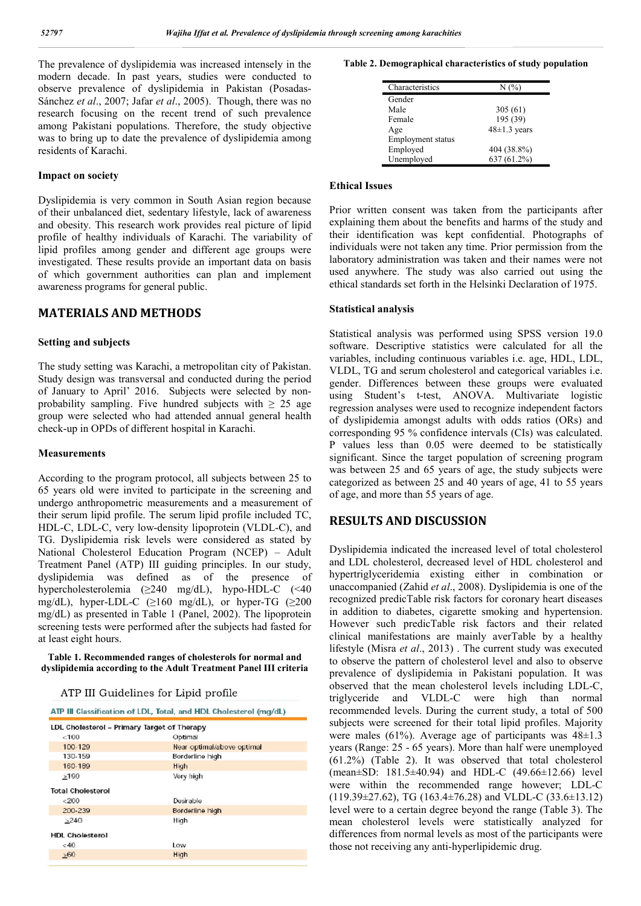The prevalence of dyslipidemia was increased intensely in the modern decade. In past years, studies were conducted to observe prevalence of dyslipidemia in Pakistan (Posadas-Sánchez *et al*., 2007; Jafar *et al*., 2005). Though, there was no research focusing on the recent trend of such prevalence among Pakistani populations. Therefore, the study objective was to bring up to date the prevalence of dyslipidemia among residents of Karachi.

#### **Impact on society**

Dyslipidemia is very common in South Asian region because of their unbalanced diet, sedentary lifestyle, lack of awareness and obesity. This research work provides real picture of lipid profile of healthy individuals of Karachi. The variability of lipid profiles among gender and different age groups were investigated. These results provide an important data on basis of which government authorities can plan and implement awareness programs for general public.

## **MATERIALS AND METHODS**

#### **Setting and subjects**

The study setting was Karachi, a metropolitan city of Pakistan. Study design was transversal and conducted during the period of January to April' 2016. Subjects were selected by nonprobability sampling. Five hundred subjects with  $\geq 25$  age group were selected who had attended annual general health check-up in OPDs of different hospital in Karachi.

#### **Measurements**

According to the program protocol, all subjects between 25 to 65 years old were invited to participate in the screening and undergo anthropometric measurements and a measurement of their serum lipid profile. The serum lipid profile included TC, HDL-C, LDL-C, very low-density lipoprotein (VLDL-C), and TG. Dyslipidemia risk levels were considered as stated by National Cholesterol Education Program (NCEP) – Adult Treatment Panel (ATP) III guiding principles. In our study, dyslipidemia was defined as of the presence of hypercholesterolemia (≥240 mg/dL), hypo-HDL-C (<40 mg/dL), hyper-LDL-C ( $\geq 160$  mg/dL), or hyper-TG ( $\geq 200$ mg/dL) as presented in Table 1 (Panel, 2002). The lipoprotein screening tests were performed after the subjects had fasted for at least eight hours.

**Table 1. Recommended ranges of cholesterols for normal and dyslipidemia according to the Adult Treatment Panel III criteria**

| ATP III Guidelines for Lipid profile |  |  |
|--------------------------------------|--|--|

|  | ATP III Classification of LDL. Total, and HDL Cholesterol (mg/dL) |  |  |  |
|--|-------------------------------------------------------------------|--|--|--|
|  |                                                                   |  |  |  |

| LDL Cholesterol - Primary Target of Therapy |                            |
|---------------------------------------------|----------------------------|
| < 100                                       | Optimal                    |
| 100-129                                     | Near optimal/above optimal |
| 130-159                                     | Borderline high            |
| 160-189                                     | High                       |
| >190                                        | Very high                  |
| <b>Total Cholesterol</b>                    |                            |
| < 200                                       | Desirable                  |
| 200-239                                     | Borderline high            |
| >240                                        | High                       |
| <b>HDL Cholesterol</b>                      |                            |
| < 40                                        | Low                        |
| 560                                         | High                       |
|                                             |                            |

#### **Table 2. Demographical characteristics of study population**

| Characteristics          | (%)                |
|--------------------------|--------------------|
| Gender                   |                    |
| Male                     | 305(61)            |
| Female                   | 195 (39)           |
| Age                      | $48 \pm 1.3$ years |
| <b>Employment status</b> |                    |
| Employed                 | 404 (38.8%)        |
| Unemployed               | 637 (61.2%)        |

#### **Ethical Issues**

Prior written consent was taken from the participants after explaining them about the benefits and harms of the study and their identification was kept confidential. Photographs of individuals were not taken any time. Prior permission from the laboratory administration was taken and their names were not used anywhere. The study was also carried out using the ethical standards set forth in the Helsinki Declaration of 1975.

#### **Statistical analysis**

Statistical analysis was performed using SPSS version 19.0 software. Descriptive statistics were calculated for all the variables, including continuous variables i.e. age, HDL, LDL, VLDL, TG and serum cholesterol and categorical variables i.e. gender. Differences between these groups were evaluated using Student's t-test, ANOVA. Multivariate logistic regression analyses were used to recognize independent factors of dyslipidemia amongst adults with odds ratios (ORs) and corresponding 95 % confidence intervals (CIs) was calculated. P values less than 0.05 were deemed to be statistically significant. Since the target population of screening program was between 25 and 65 years of age, the study subjects were categorized as between 25 and 40 years of age, 41 to 55 years of age, and more than 55 years of age.

### **RESULTS AND DISCUSSION**

Dyslipidemia indicated the increased level of total cholesterol and LDL cholesterol, decreased level of HDL cholesterol and hypertriglyceridemia existing either in combination or unaccompanied (Zahid *et al*., 2008). Dyslipidemia is one of the recognized predicTable risk factors for coronary heart diseases in addition to diabetes, cigarette smoking and hypertension. However such predicTable risk factors and their related clinical manifestations are mainly averTable by a healthy lifestyle (Misra *et al*., 2013) . The current study was executed to observe the pattern of cholesterol level and also to observe prevalence of dyslipidemia in Pakistani population. It was observed that the mean cholesterol levels including LDL-C, triglyceride and VLDL-C were high than normal recommended levels. During the current study, a total of 500 subjects were screened for their total lipid profiles. Majority were males (61%). Average age of participants was  $48\pm1.3$ years (Range: 25 - 65 years). More than half were unemployed (61.2%) (Table 2). It was observed that total cholesterol (mean±SD: 181.5±40.94) and HDL-C (49.66±12.66) level were within the recommended range however; LDL-C  $(119.39\pm27.62)$ , TG (163.4 $\pm$ 76.28) and VLDL-C (33.6 $\pm$ 13.12) level were to a certain degree beyond the range (Table 3). The mean cholesterol levels were statistically analyzed for differences from normal levels as most of the participants were those not receiving any anti-hyperlipidemic drug.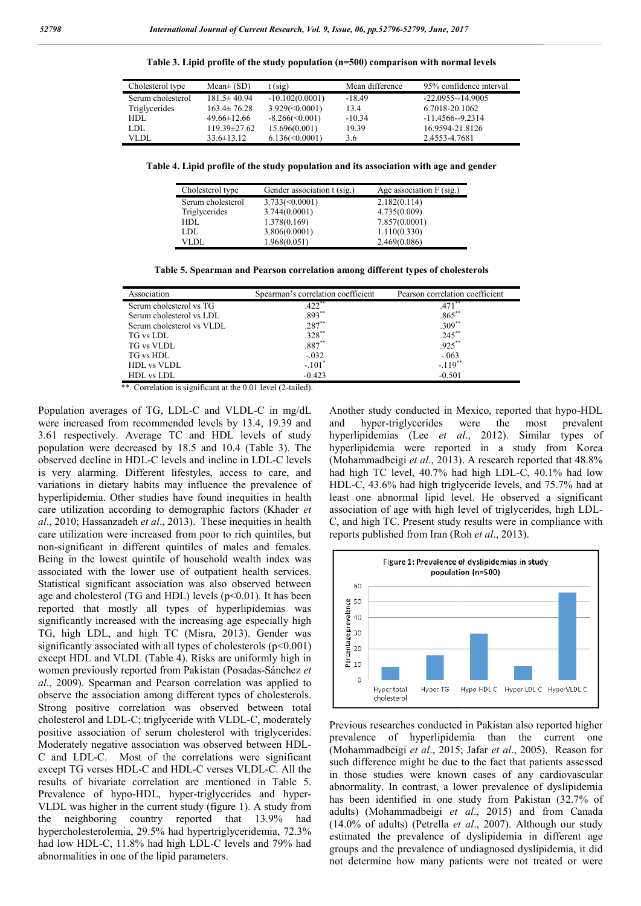| Cholesterol type  | $Mean\pm(SD)$      | $t$ (sig)          | Mean difference | 95% confidence interval |
|-------------------|--------------------|--------------------|-----------------|-------------------------|
| Serum cholesterol | $181.5 \pm 40.94$  | $-10.102(0.0001)$  | $-18.49$        | $-22.0955 - 14.9005$    |
| Triglycerides     | $163.4 \pm 76.28$  | $3.929 \le 0.0001$ | 13.4            | 6.7018-20.1062          |
| HDL.              | $49.66 \pm 12.66$  | $-8.266 \le 0.001$ | $-10.34$        | $-11.4566 - 9.2314$     |
| LDL               | $119.39 \pm 27.62$ | 15.696(0.001)      | 19.39           | 16.9594-21.8126         |
| VLDI.             | $33.6 \pm 13.12$   | $6.136 \le 0.0001$ | 3.6             | 2.4553-4.7681           |

**Table 3. Lipid profile of the study population (n=500 (n=500) comparison with normal levels**

**Table 4. Lipid profile of the study population and its association with age and gender**

| Cholesterol type  | Gender association t (sig.) | Age association $F$ (sig.) |
|-------------------|-----------------------------|----------------------------|
| Serum cholesterol | $3.733 \le 0.0001$          | 2.182(0.114)               |
| Triglycerides     | 3.744(0.0001)               | 4.735(0.009)               |
| <b>HDL</b>        | 1.378(0.169)                | 7.857(0.0001)              |
| LDL.              | 3.806(0.0001)               | 1.110(0.330)               |
| VLDL              | 1.968(0.051)                | 2.469(0.086)               |

**Table 5. Spearman and Pearson correlation among different types of cholesterols**

| Association               | Spearman's correlation coefficient | Pearson correlation coefficient |
|---------------------------|------------------------------------|---------------------------------|
| Serum cholesterol vs TG   | $.422$ **                          | .471                            |
| Serum cholesterol vs LDL  | $.893***$                          | $.865**$                        |
| Serum cholesterol vs VLDL | $.287**$                           | $.309**$                        |
| TG vs LDL                 | $.328**$                           | $.245***$                       |
| <b>TG</b> vs VLDL         | $.887**$                           | $.925***$                       |
| TG vs HDL                 | $-.032$                            | $-.063$                         |
| <b>HDL</b> vs VLDL        | $-.101"$                           | $-.119$ <sup>**</sup>           |
| HDL vs LDL                | $-0.423$                           | $-0.501$                        |

\*\*. Correlation is significant at the 0.01 level (2-tailed).

Population averages of TG, LDL-C and VLDL-C in mg/dL were increased from recommended levels by 13.4, 19.39 and 3.61 respectively. Average TC and HDL levels of study population were decreased by 18.5 and 10.4 ( (Table 3). The observed decline in HDL-C levels and incline in LDL-C levels is very alarming. Different lifestyles, access to care, and variations in dietary habits may influence the prevalence of hyperlipidemia. Other studies have found inequities in health care utilization according to demographic factors (Khader *et*  al., 2010; Hassanzadeh et al., 2013). These inequities in health care utilization were increased from poor to rich quintiles, but non-significant in different quintiles of males and females. Being in the lowest quintile of household wealth index was associated with the lower use of outpatient health services. Statistical significant association was also observed between age and cholesterol (TG and HDL) levels  $(p<0.01)$ . It has been reported that mostly all types of hyperlipidemias was significantly increased with the increasing age especially high TG, high LDL, and high TC (Misra, 2013 , 2013). Gender was significantly associated with all types of cholesterols  $(p<0.001)$ except HDL and VLDL (Table 4). Risks are uniformly high in significantly associated with all types of cholesterols (p<0.001) except HDL and VLDL (Table 4). Risks are uniformly high in women previously reported from Pakistan (Posadas-Sánchez *et al*., 2009). Spearman and Pearson correlation was applied to observe the association among different types of cholesterols. Strong positive correlation was observed between total cholesterol and LDL-C; triglyceride with VLDL-C, moderately positive association of serum cholesterol with triglycerides. Moderately negative association was observed between HDL-C and LDL-C. Most of the correlations were significant C and LDL-C. Most of the correlations were significant except TG verses HDL-C and HDL-C verses VLDL-C. All the results of bivariate correlation are mentioned in Table 5. Prevalence of hypo-HDL, hyper-triglycerides and hyper-VLDL was higher in the current study (figure 1). A study from the neighboring country reported that 13.9% had hypercholesterolemia, 29.5% had hypertriglyceridemia, 72.3% had low HDL-C, 11.8% had high LDL-C levels and 79% had abnormalities in one of the lipid parameters. significant in different quintiles of males and females.<br>g in the lowest quintile of household wealth index was<br>ciated with the lower use of outpatient health services.<br>stical significant association was also observed betw d VLDL-C, moderately<br>
and hypotriphyericals Mexico, reported that hypotropological<br>
HS by 13.4, 19.39 and and hypotriphyerines (Lee et al., 2012). Similar type<br>
HD1. levels of study hypotripidemia were reported in a study

and hyper-triglycerides were the most prevalent hyperlipidemias (Lee *et al al*., 2012). Similar types of hyperlipidemia were reported in a study from Korea hyperlipidemia were reported in a study from Korea<br>(Mohammadbeigi *et al.*, 2013). A research reported that 48.8% had high TC level, 40.7% had high LDL-C, 40.1% had low HDL-C, 43.6% had high triglyceride levels, and 75.7% had at least one abnormal lipid level. He observed a significant association of age with high level of triglycerides, C, and high TC. Present study results were in compliance with C, and high TC. Present study results were in reports published from Iran (Roh *et al.*, 2013). Another study conducted in Mexico, reported that hypo-HDL C, 43.6% had high triglyceride levels, and 75.7% had at one abnormal lipid level. He observed a significant ation of age with high level of triglycerides, high LDL-



Previous researches conducted in Pakistan also reported higher prevalence of hyperlipidemia than the current one (Mohammadbeigi et al., 2015; Jafar et al., 2005). Reason for such difference might be due to the fact that patients assessed in those studies were known cases of any cardiovascular abnormality. In contrast, a lower prevalence of dyslipidemia has been identified in one study from Pakistan (32.7% of adults) (Mohammadbeigi *et al* ., 2015) and from Canada (14.0% of adults) (Petrella *et al* ., 2007). Although our study estimated the prevalence of dyslipidemia in different age groups and the prevalence of undiagnosed dyslipidemia, it did not determine how many patients were not treated or were Previous researches conducted in Pakistan also reported higher<br>prevalence of hyperlipidemia than the current one<br>(Mohammadbeigi *et al.*, 2015; Jafar *et al.*, 2005). Reason for h difference might be due to the fact that patients assessed those studies were known cases of any cardiovascular ormality. In contrast, a lower prevalence of dyslipidemia been identified in one study from Pakistan (32.7%